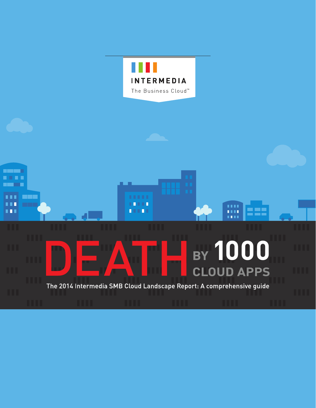

1111

1111

**TELE** 

99

# **BY 1000 CLOUD APPS**

**FILE** 

ПT

П

**The Color** . . . . **Barbara** 

m

m

**TER** 

**STATE** 

The 2014 Intermedia SMB Cloud Landscape Report: A comprehensive guide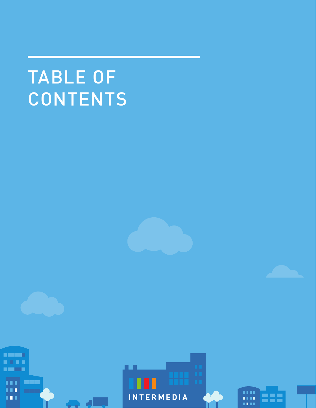# TABLE OF **CONTENTS**



**REAL PROPERTY** . . . . **MARK** Г T 8 E



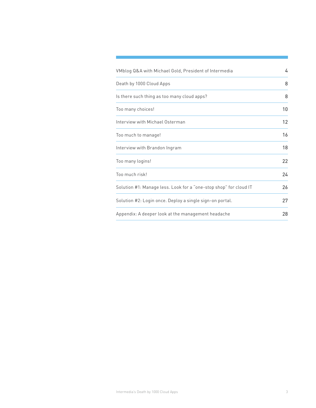| VMblog Q&A with Michael Gold, President of Intermedia             | 4  |
|-------------------------------------------------------------------|----|
| Death by 1000 Cloud Apps                                          | 8  |
| Is there such thing as too many cloud apps?                       | 8  |
| Too many choices!                                                 | 10 |
| Interview with Michael Osterman                                   | 12 |
| Too much to manage!                                               | 16 |
| Interview with Brandon Ingram                                     | 18 |
| Too many logins!                                                  | 22 |
| Too much risk!                                                    | 24 |
| Solution #1: Manage less. Look for a "one-stop shop" for cloud IT | 26 |
| Solution #2: Login once. Deploy a single sign-on portal.          | 27 |
| Appendix: A deeper look at the management headache                | 28 |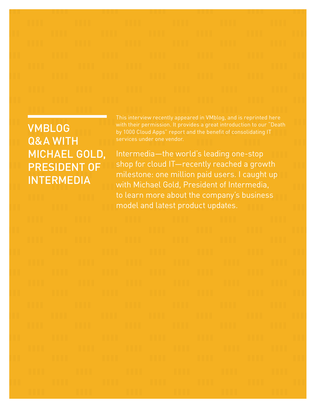VMBLOG Q&A WITH MICHAEL GOLD, PRESIDENT OF **INTERMEDIA** 

services under one vendor.

Intermedia—the world's leading one-stop shop for cloud IT—recently reached a growth milestone: one million paid users. I caught up with Michael Gold, President of Intermedia, to learn more about the company's business model and latest product updates.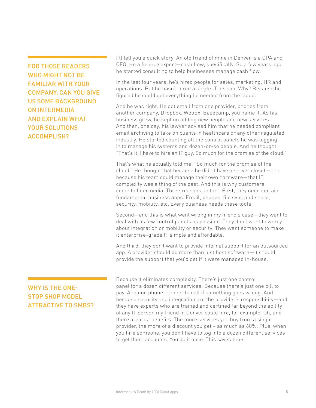FOR THOSE READERS WHO MIGHT NOT BE FAMILIAR WITH YOUR COMPANY, CAN YOU GIVE US SOME BACKGROUND ON INTERMEDIA AND EXPLAIN WHAT YOUR SOLUTIONS ACCOMPLISH?

WHY IS THE ONE-STOP SHOP MODEL ATTRACTIVE TO SMBS? I'll tell you a quick story. An old friend of mine in Denver is a CPA and CFO. He a finance expert—cash flow, specifically. So a few years ago, he started consulting to help businesses manage cash flow.

In the last four years, he's hired people for sales, marketing, HR and operations. But he hasn't hired a single IT person. Why? Because he figured he could get everything he needed from the cloud.

And he was right. He got email from one provider, phones from another company, Dropbox, WebEx, Basecamp, you name it. As his business grew, he kept on adding new people and new services. And then, one day, his lawyer advised him that he needed compliant email archiving to take on clients in healthcare or any other regulated industry. He started counting all the control panels he was logging in to manage his systems and dozen-or-so people. And he thought, "That's it. I have to hire an IT guy. So much for the promise of the cloud."

That's what he actually told me! "So much for the promise of the cloud." He thought that because he didn't have a server closet—and because his team could manage their own hardware—that IT complexity was a thing of the past. And this is why customers come to Intermedia. Three reasons, in fact. First, they need certain fundamental business apps. Email, phones, file sync and share, security, mobility, etc. Every business needs these tools.

Second—and this is what went wrong in my friend's case—they want to deal with as few control panels as possible. They don't want to worry about integration or mobility or security. They want someone to make it enterprise-grade IT simple and affordable.

And third, they don't want to provide internal support for an outsourced app. A provider should do more than just host software—it should provide the support that you'd get if it were managed in-house.

Because it eliminates complexity. There's just one control panel for a dozen different services. Because there's just one bill to pay. And one phone number to call if something goes wrong. And because security and integration are the provider's responsibility—and they have experts who are trained and certified far beyond the ability of any IT person my friend in Denver could hire, for example. Oh, and there are cost benefits. The more services you buy from a single provider, the more of a discount you get – as much as 60%. Plus, when you hire someone, you don't have to log into a dozen different services to get them accounts. You do it once. This saves time.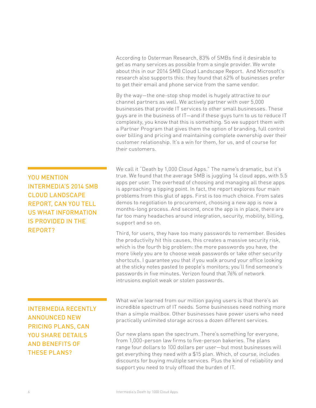According to Osterman Research, 83% of SMBs find it desirable to get as many services as possible from a single provider. We wrote about this in our 2014 SMB Cloud Landscape Report. And Microsoft's research also supports this: they found that 62% of businesses prefer to get their email and phone service from the same vendor.

By the way—the one-stop shop model is hugely attractive to our channel partners as well. We actively partner with over 5,000 businesses that provide IT services to other small businesses. These guys are in the business of IT—and if these guys turn to us to reduce IT complexity, you know that this is something. So we support them with a Partner Program that gives them the option of branding, full control over billing and pricing and maintaining complete ownership over their customer relationship. It's a win for them, for us, and of course for their customers.

We call it "Death by 1,000 Cloud Apps." The name's dramatic, but it's true. We found that the average SMB is juggling 14 cloud apps, with 5.5 apps per user. The overhead of choosing and managing all these apps is approaching a tipping point. In fact, the report explores four main problems from this glut of apps. First is too much choice. From sales demos to negotiation to procurement, choosing a new app is now a months-long process. And second, once the app is in place, there are far too many headaches around integration, security, mobility, billing, support and so on.

Third, for users, they have too many passwords to remember. Besides the productivity hit this causes, this creates a massive security risk, which is the fourth big problem: the more passwords you have, the more likely you are to choose weak passwords or take other security shortcuts. I guarantee you that if you walk around your office looking at the sticky notes pasted to people's monitors; you'll find someone's passwords in five minutes. Verizon found that 76% of network intrusions exploit weak or stolen passwords.

What we've learned from our million paying users is that there's an incredible spectrum of IT needs. Some businesses need nothing more than a simple mailbox. Other businesses have power users who need practically unlimited storage across a dozen different services. Our new plans span the spectrum. There's something for everyone,

from 1,000-person law firms to five-person bakeries. The plans range four dollars to 100 dollars per user—but most businesses will get everything they need with a \$15 plan. Which, of course, includes discounts for buying multiple services. Plus the kind of reliability and support you need to truly offload the burden of IT.

YOU MENTION INTERMEDIA'S 2014 SMB CLOUD LANDSCAPE REPORT, CAN YOU TELL US WHAT INFORMATION IS PROVIDED IN THE REPORT?

INTERMEDIA RECENTLY ANNOUNCED NEW PRICING PLANS, CAN YOU SHARE DETAILS AND BENEFITS OF THESE PLANS?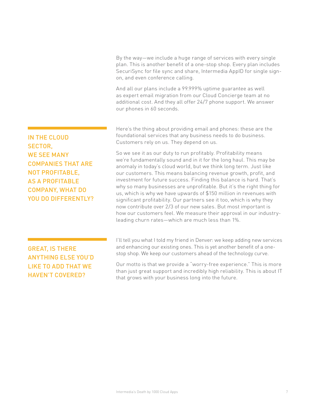By the way—we include a huge range of services with every single plan. This is another benefit of a one-stop shop. Every plan includes SecuriSync for file sync and share, Intermedia AppID for single signon, and even conference calling.

And all our plans include a 99.999% uptime guarantee as well as expert email migration from our Cloud Concierge team at no additional cost. And they all offer 24/7 phone support. We answer our phones in 60 seconds.

Here's the thing about providing email and phones: these are the foundational services that any business needs to do business. Customers rely on us. They depend on us.

So we see it as our duty to run profitably. Profitability means we're fundamentally sound and in it for the long haul. This may be anomaly in today's cloud world, but we think long term. Just like our customers. This means balancing revenue growth, profit, and investment for future success. Finding this balance is hard. That's why so many businesses are unprofitable. But it's the right thing for us, which is why we have upwards of \$150 million in revenues with significant profitability. Our partners see it too, which is why they now contribute over 2/3 of our new sales. But most important is how our customers feel. We measure their approval in our industryleading churn rates—which are much less than 1%.

### GREAT, IS THERE ANYTHING ELSE YOU'D LIKE TO ADD THAT WE HAVEN'T COVERED?

IN THE CLOUD

WE SEE MANY

COMPANIES THAT ARE

SECTOR,

I'll tell you what I told my friend in Denver: we keep adding new services and enhancing our existing ones. This is yet another benefit of a onestop shop. We keep our customers ahead of the technology curve.

Our motto is that we provide a "worry-free experience." This is more than just great support and incredibly high reliability. This is about IT that grows with your business long into the future.

NOT PROFITABLE, AS A PROFITABLE COMPANY, WHAT DO YOU DO DIFFERENTLY?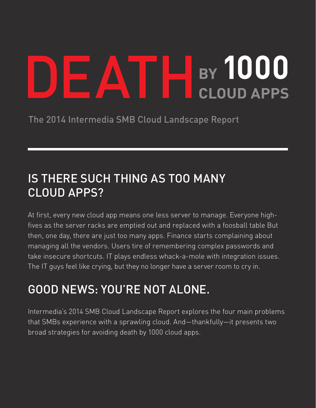# BY 1000 **CLOUD APPS**

The 2014 Intermedia SMB Cloud Landscape Report

## IS THERE SUCH THING AS TOO MANY CLOUD APPS?

At first, every new cloud app means one less server to manage. Everyone highfives as the server racks are emptied out and replaced with a foosball table But then, one day, there are just too many apps. Finance starts complaining about managing all the vendors. Users tire of remembering complex passwords and take insecure shortcuts. IT plays endless whack-a-mole with integration issues. The IT guys feel like crying, but they no longer have a server room to cry in.

## GOOD NEWS: YOU'RE NOT ALONE.

Intermedia's 2014 SMB Cloud Landscape Report explores the four main problems that SMBs experience with a sprawling cloud. And—thankfully—it presents two broad strategies for avoiding death by 1000 cloud apps.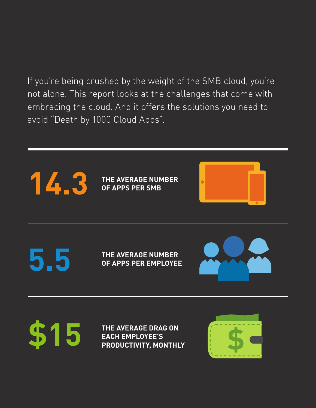If you're being crushed by the weight of the SMB cloud, you're not alone. This report looks at the challenges that come with embracing the cloud. And it offers the solutions you need to avoid "Death by 1000 Cloud Apps".

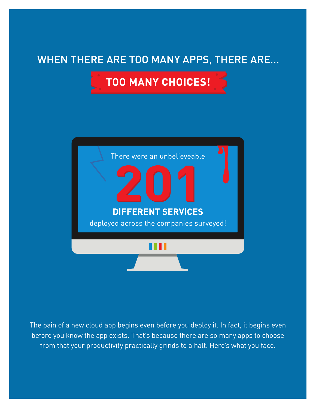### WHEN THERE ARE TOO MANY APPS, THERE ARE...

**TOO MANY CHOICES!** 



The pain of a new cloud app begins even before you deploy it. In fact, it begins even before you know the app exists. That's because there are so many apps to choose from that your productivity practically grinds to a halt. Here's what you face.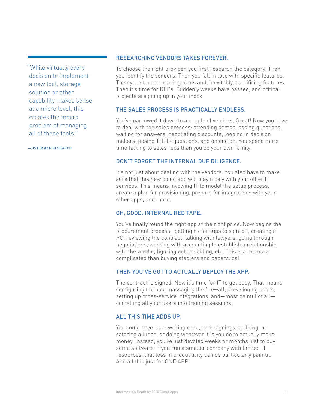"While virtually every decision to implement a new tool, storage solution or other capability makes sense at a micro level, this creates the macro problem of managing all of these tools."

—OSTERMAN RESEARCH

#### RESEARCHING VENDORS TAKES FOREVER.

To choose the right provider, you first research the category. Then you identify the vendors. Then you fall in love with specific features. Then you start comparing plans and, inevitably, sacrificing features. Then it's time for RFPs. Suddenly weeks have passed, and critical projects are piling up in your inbox.

### THE SALES PROCESS IS PRACTICALLY ENDLESS.

You've narrowed it down to a couple of vendors. Great! Now you have to deal with the sales process: attending demos, posing questions, waiting for answers, negotiating discounts, looping in decision makers, posing THEIR questions, and on and on. You spend more time talking to sales reps than you do your own family.

### DON'T FORGET THE INTERNAL DUE DILIGENCE.

It's not just about dealing with the vendors. You also have to make sure that this new cloud app will play nicely with your other IT services. This means involving IT to model the setup process, create a plan for provisioning, prepare for integrations with your other apps, and more.

### OH, GOOD. INTERNAL RED TAPE.

You've finally found the right app at the right price. Now begins the procurement process: getting higher-ups to sign-off, creating a PO, reviewing the contract, talking with lawyers, going through negotiations, working with accounting to establish a relationship with the vendor, figuring out the billing, etc. This is a lot more complicated than buying staplers and paperclips!

### THEN YOU'VE GOT TO ACTUALLY DEPLOY THE APP.

The contract is signed. Now it's time for IT to get busy. That means configuring the app, massaging the firewall, provisioning users, setting up cross-service integrations, and—most painful of all corralling all your users into training sessions.

### ALL THIS TIME ADDS UP.

You could have been writing code, or designing a building, or catering a lunch, or doing whatever it is you do to actually make money. Instead, you've just devoted weeks or months just to buy some software. If you run a smaller company with limited IT resources, that loss in productivity can be particularly painful. And all this just for ONE APP.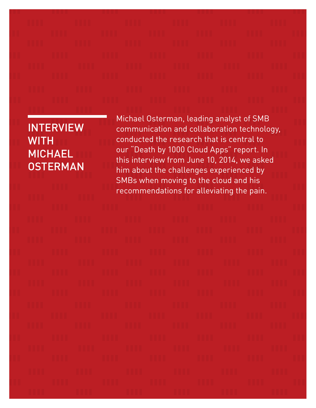### INTERVIEW **WITH** MICHAEL **OSTERMAN**

Michael Osterman, leading analyst of SMB communication and collaboration technology, conducted the research that is central to our "Death by 1000 Cloud Apps" report. In this interview from June 10, 2014, we asked him about the challenges experienced by SMBs when moving to the cloud and his recommendations for alleviating the pain.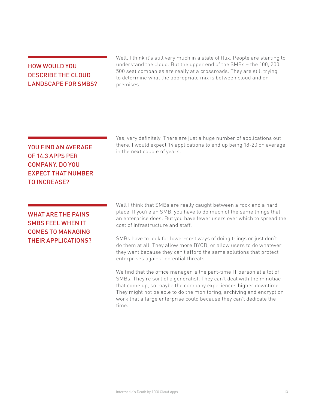### HOW WOULD YOU DESCRIBE THE CLOUD LANDSCAPE FOR SMBS?

Well, I think it's still very much in a state of flux. People are starting to understand the cloud. But the upper end of the SMBs – the 100, 200, 500 seat companies are really at a crossroads. They are still trying to determine what the appropriate mix is between cloud and onpremises.

### YOU FIND AN AVERAGE OF 14.3 APPS PER COMPANY. DO YOU EXPECT THAT NUMBER TO INCREASE?

WHAT ARE THE PAINS SMBS FEEL WHEN IT COMES TO MANAGING THEIR APPLICATIONS? Yes, very definitely. There are just a huge number of applications out there. I would expect 14 applications to end up being 18-20 on average in the next couple of years.

Well I think that SMBs are really caught between a rock and a hard place. If you're an SMB, you have to do much of the same things that an enterprise does. But you have fewer users over which to spread the cost of infrastructure and staff.

SMBs have to look for lower-cost ways of doing things or just don't do them at all. They allow more BYOD, or allow users to do whatever they want because they can't afford the same solutions that protect enterprises against potential threats.

We find that the office manager is the part-time IT person at a lot of SMBs. They're sort of a generalist. They can't deal with the minutiae that come up, so maybe the company experiences higher downtime. They might not be able to do the monitoring, archiving and encryption work that a large enterprise could because they can't dedicate the time.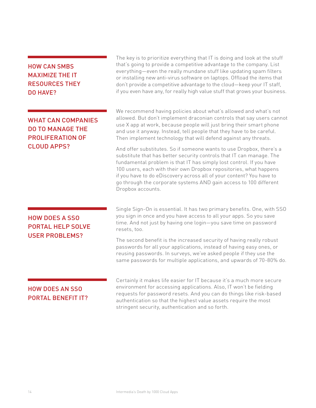### HOW CAN SMBS MAXIMIZE THE IT RESOURCES THEY DO HAVE?

### WHAT CAN COMPANIES DO TO MANAGE THE PROLIFERATION OF CLOUD APPS?

### HOW DOES A SSO PORTAL HELP SOLVE USER PROBLEMS?

The key is to prioritize everything that IT is doing and look at the stuff that's going to provide a competitive advantage to the company. List everything—even the really mundane stuff like updating spam filters or installing new anti-virus software on laptops. Offload the items that don't provide a competitive advantage to the cloud—keep your IT staff, if you even have any, for really high value stuff that grows your business.

We recommend having policies about what's allowed and what's not allowed. But don't implement draconian controls that say users cannot use X app at work, because people will just bring their smart phone and use it anyway. Instead, tell people that they have to be careful. Then implement technology that will defend against any threats.

And offer substitutes. So if someone wants to use Dropbox, there's a substitute that has better security controls that IT can manage. The fundamental problem is that IT has simply lost control. If you have 100 users, each with their own Dropbox repositories, what happens if you have to do eDiscovery across all of your content? You have to go through the corporate systems AND gain access to 100 different Dropbox accounts.

Single Sign-On is essential. It has two primary benefits. One, with SSO you sign in once and you have access to all your apps. So you save time. And not just by having one login—you save time on password resets, too.

The second benefit is the increased security of having really robust passwords for all your applications, instead of having easy ones, or reusing passwords. In surveys, we've asked people if they use the same passwords for multiple applications, and upwards of 70-80% do.

### HOW DOES AN SSO PORTAL BENEFIT IT?

Certainly it makes life easier for IT because it's a much more secure environment for accessing applications. Also, IT won't be fielding requests for password resets. And you can do things like risk-based authentication so that the highest value assets require the most stringent security, authentication and so forth.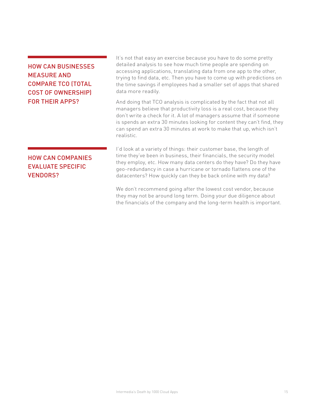### HOW CAN BUSINESSES MEASURE AND COMPARE TCO (TOTAL COST OF OWNERSHIP) FOR THEIR APPS?

It's not that easy an exercise because you have to do some pretty detailed analysis to see how much time people are spending on accessing applications, translating data from one app to the other, trying to find data, etc. Then you have to come up with predictions on the time savings if employees had a smaller set of apps that shared data more readily.

And doing that TCO analysis is complicated by the fact that not all managers believe that productivity loss is a real cost, because they don't write a check for it. A lot of managers assume that if someone is spends an extra 30 minutes looking for content they can't find, they can spend an extra 30 minutes at work to make that up, which isn't realistic.

### HOW CAN COMPANIES EVALUATE SPECIFIC VENDORS?

I'd look at a variety of things: their customer base, the length of time they've been in business, their financials, the security model they employ, etc. How many data centers do they have? Do they have geo-redundancy in case a hurricane or tornado flattens one of the datacenters? How quickly can they be back online with my data?

We don't recommend going after the lowest cost vendor, because they may not be around long term. Doing your due diligence about the financials of the company and the long-term health is important.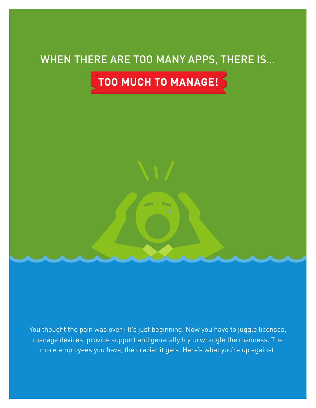### WHEN THERE ARE TOO MANY APPS, THERE IS...

TOO MUCH TO MANAGE!

You thought the pain was over? It's just beginning. Now you have to juggle licenses, manage devices, provide support and generally try to wrangle the madness. The more employees you have, the crazier it gets. Here's what you're up against.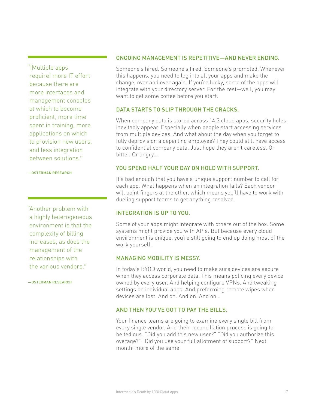"[Multiple apps require] more IT effort because there are more interfaces and management consoles at which to become proficient, more time spent in training, more applications on which to provision new users, and less integration between solutions."

—OSTERMAN RESEARCH

"Another problem with a highly heterogeneous environment is that the complexity of billing increases, as does the management of the relationships with the various vendors."

—OSTERMAN RESEARCH

### ONGOING MANAGEMENT IS REPETITIVE—AND NEVER ENDING.

Someone's hired. Someone's fired. Someone's promoted. Whenever this happens, you need to log into all your apps and make the change, over and over again. If you're lucky, some of the apps will integrate with your directory server. For the rest—well, you may want to get some coffee before you start.

### DATA STARTS TO SLIP THROUGH THE CRACKS.

When company data is stored across 14.3 cloud apps, security holes inevitably appear. Especially when people start accessing services from multiple devices. And what about the day when you forget to fully deprovision a departing employee? They could still have access to confidential company data. Just hope they aren't careless. Or bitter. Or angry…

### YOU SPEND HALF YOUR DAY ON HOLD WITH SUPPORT.

It's bad enough that you have a unique support number to call for each app. What happens when an integration fails? Each vendor will point fingers at the other, which means you'll have to work with dueling support teams to get anything resolved.

### INTEGRATION IS UP TO YOU.

Some of your apps might integrate with others out of the box. Some systems might provide you with APIs. But because every cloud environment is unique, you're still going to end up doing most of the work yourself.

### MANAGING MOBILITY IS MESSY.

In today's BYOD world, you need to make sure devices are secure when they access corporate data. This means policing every device owned by every user. And helping configure VPNs. And tweaking settings on individual apps. And preforming remote wipes when devices are lost. And on. And on. And on…

### AND THEN YOU'VE GOT TO PAY THE BILLS.

Your finance teams are going to examine every single bill from every single vendor. And their reconciliation process is going to be tedious. "Did you add this new user?" "Did you authorize this overage?" "Did you use your full allotment of support?" Next month: more of the same.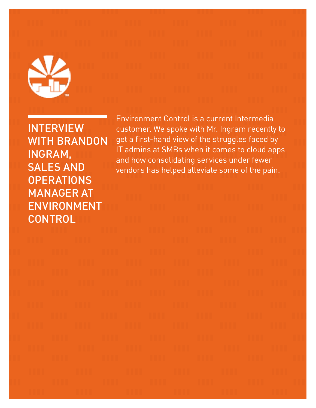

**INTERVIEW** WITH BRANDON INGRAM, SALES AND **OPERATIONS** MANAGER AT ENVIRONMENT **CONTROL** 

Environment Control is a current Intermedia customer. We spoke with Mr. Ingram recently to get a first-hand view of the struggles faced by IT admins at SMBs when it comes to cloud apps and how consolidating services under fewer vendors has helped alleviate some of the pain.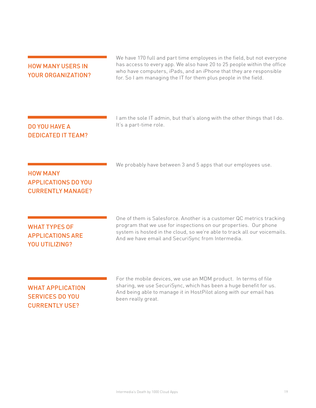### HOW MANY USERS IN YOUR ORGANIZATION?

We have 170 full and part time employees in the field, but not everyone has access to every app. We also have 20 to 25 people within the office who have computers, iPads, and an iPhone that they are responsible for. So I am managing the IT for them plus people in the field.

| <b>DO YOU HAVE A</b>      |
|---------------------------|
| <b>DEDICATED IT TEAM?</b> |

I am the sole IT admin, but that's along with the other things that I do. It's a part-time role.

### HOW MANY APPLICATIONS DO YOU CURRENTLY MANAGE?

We probably have between 3 and 5 apps that our employees use.

### WHAT TYPES OF APPLICATIONS ARE YOU UTILIZING?

One of them is Salesforce. Another is a customer QC metrics tracking program that we use for inspections on our properties. Our phone system is hosted in the cloud, so we're able to track all our voicemails. And we have email and SecuriSync from Intermedia.

### WHAT APPLICATION SERVICES DO YOU CURRENTLY USE?

For the mobile devices, we use an MDM product. In terms of file sharing, we use SecuriSync, which has been a huge benefit for us. And being able to manage it in HostPilot along with our email has been really great.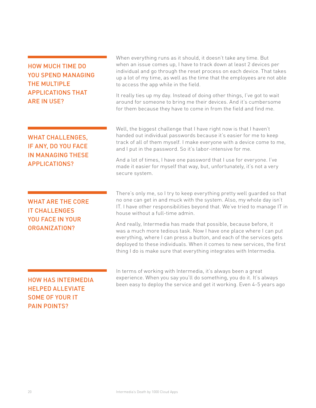### HOW MUCH TIME DO YOU SPEND MANAGING THE MULTIPLE APPLICATIONS THAT ARE IN USE?

When everything runs as it should, it doesn't take any time. But when an issue comes up, I have to track down at least 2 devices per individual and go through the reset process on each device. That takes up a lot of my time, as well as the time that the employees are not able to access the app while in the field.

It really ties up my day. Instead of doing other things, I've got to wait around for someone to bring me their devices. And it's cumbersome for them because they have to come in from the field and find me.

WHAT CHALLENGES, IF ANY, DO YOU FACE IN MANAGING THESE APPLICATIONS?

WHAT ARE THE CORE IT CHALLENGES YOU FACE IN YOUR ORGANIZATION?

Well, the biggest challenge that I have right now is that I haven't handed out individual passwords because it's easier for me to keep track of all of them myself. I make everyone with a device come to me, and I put in the password. So it's labor-intensive for me.

And a lot of times, I have one password that I use for everyone. I've made it easier for myself that way, but, unfortunately, it's not a very secure system.

There's only me, so I try to keep everything pretty well guarded so that no one can get in and muck with the system. Also, my whole day isn't IT. I have other responsibilities beyond that. We've tried to manage IT in house without a full-time admin.

And really, Intermedia has made that possible, because before, it was a much more tedious task. Now I have one place where I can put everything, where I can press a button, and each of the services gets deployed to these individuals. When it comes to new services, the first thing I do is make sure that everything integrates with Intermedia.

### HOW HAS INTERMEDIA HELPED ALLEVIATE SOME OF YOUR IT PAIN POINTS?

In terms of working with Intermedia, it's always been a great experience. When you say you'll do something, you do it. It's always been easy to deploy the service and get it working. Even 4-5 years ago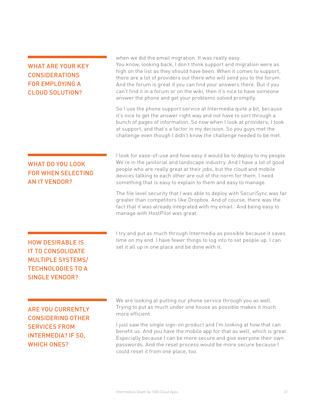| <b>WHAT ARE YOUR KEY</b><br><b>CONSIDERATIONS</b><br><b>FOR EMPLOYING A</b><br><b>CLOUD SOLUTION?</b>                                | when we did the email migration. It was really easy.<br>You know, looking back, I don't think support and migration were as<br>high on the list as they should have been. When it comes to support,<br>there are a lot of providers out there who will send you to the forum.<br>And the forum is great if you can find your answers there. But if you<br>can't find it in a forum or on the wiki, then it's nice to have someone<br>answer the phone and get your problems solved promptly. |
|--------------------------------------------------------------------------------------------------------------------------------------|----------------------------------------------------------------------------------------------------------------------------------------------------------------------------------------------------------------------------------------------------------------------------------------------------------------------------------------------------------------------------------------------------------------------------------------------------------------------------------------------|
|                                                                                                                                      | So I use the phone support service at Intermedia quite a bit, because<br>it's nice to get the answer right way and not have to sort through a<br>bunch of pages of information. So now when I look at providers, I look<br>at support, and that's a factor in my decision. So you guys met the<br>challenge even though I didn't know the challenge needed to be met.                                                                                                                        |
| <b>WHAT DO YOU LOOK</b><br><b>FOR WHEN SELECTING</b><br><b>AN IT VENDOR?</b>                                                         | I look for ease-of-use and how easy it would be to deploy to my people.<br>We're in the janitorial and landscape industry. And I have a lot of good<br>people who are really great at their jobs, but the cloud and mobile<br>devices talking to each other are out of the norm for them. I need<br>something that is easy to explain to them and easy to manage.                                                                                                                            |
|                                                                                                                                      | The file level security that I was able to deploy with SecuriSync was far<br>greater than competitors like Dropbox. And of course, there was the<br>fact that it was already integrated with my email. And being easy to<br>manage with HostPilot was great.                                                                                                                                                                                                                                 |
| <b>HOW DESIRABLE IS</b><br><b>IT TO CONSOLIDATE</b><br><b>MULTIPLE SYSTEMS/</b><br><b>TECHNOLOGIES TO A</b><br><b>SINGLE VENDOR?</b> | I try and put as much through Intermedia as possible because it saves<br>time on my end. I have fewer things to log into to set people up. I can<br>set it all up in one place and be done with it.                                                                                                                                                                                                                                                                                          |
| <b>ARE YOU CURRENTLY</b><br><b>CONSIDERING OTHER</b>                                                                                 | We are looking at putting our phone service through you as well.<br>Trying to put as much under one house as possible makes it much<br>more efficient.                                                                                                                                                                                                                                                                                                                                       |
| <b>SERVICES FROM</b><br><b>INTERMEDIA? IF SO,</b><br><b>WHICH ONES?</b>                                                              | I just saw the single sign-on product and I'm looking at how that can<br>benefit us. And you have the mobile app for that as well, which is great.<br>Especially because I can be more secure and give everyone their own<br>passwords. And the reset process would be more secure because I<br>could reset it from one place, too.                                                                                                                                                          |
|                                                                                                                                      |                                                                                                                                                                                                                                                                                                                                                                                                                                                                                              |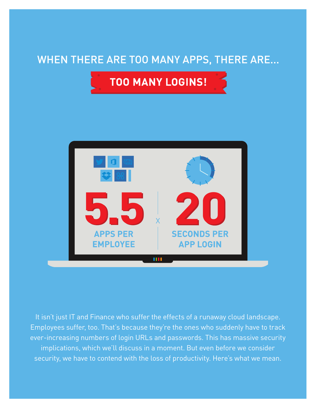### WHEN THERE ARE TOO MANY APPS, THERE ARE...





It isn't just IT and Finance who suffer the effects of a runaway cloud landscape. Employees suffer, too. That's because they're the ones who suddenly have to track ever-increasing numbers of login URLs and passwords. This has massive security implications, which we'll discuss in a moment. But even before we consider security, we have to contend with the loss of productivity. Here's what we mean.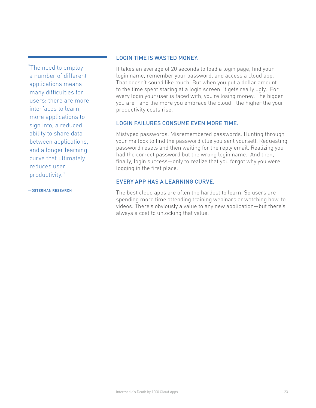"The need to employ a number of different applications means many difficulties for users: there are more interfaces to learn, more applications to sign into, a reduced ability to share data between applications, and a longer learning curve that ultimately reduces user productivity."

#### LOGIN TIME IS WASTED MONEY.

It takes an average of 20 seconds to load a login page, find your login name, remember your password, and access a cloud app. That doesn't sound like much. But when you put a dollar amount to the time spent staring at a login screen, it gets really ugly. For every login your user is faced with, you're losing money. The bigger you are—and the more you embrace the cloud—the higher the your productivity costs rise.

### LOGIN FAILURES CONSUME EVEN MORE TIME.

Mistyped passwords. Misremembered passwords. Hunting through your mailbox to find the password clue you sent yourself. Requesting password resets and then waiting for the reply email. Realizing you had the correct password but the wrong login name. And then, finally, login success—only to realize that you forgot why you were logging in the first place.

### EVERY APP HAS A LEARNING CURVE.

The best cloud apps are often the hardest to learn. So users are spending more time attending training webinars or watching how-to videos. There's obviously a value to any new application—but there's always a cost to unlocking that value.

—OSTERMAN RESEARCH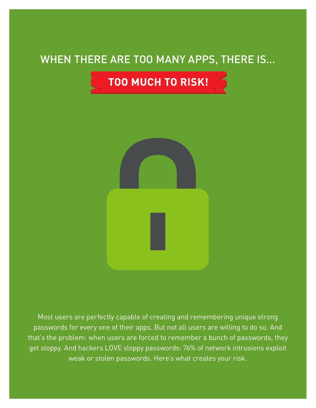### WHEN THERE ARE TOO MANY APPS, THERE IS...





Most users are perfectly capable of creating and remembering unique strong passwords for every one of their apps. But not all users are willing to do so. And that's the problem: when users are forced to remember a bunch of passwords, they get sloppy. And hackers LOVE sloppy passwords: 76% of network intrusions exploit weak or stolen passwords. Here's what creates your risk.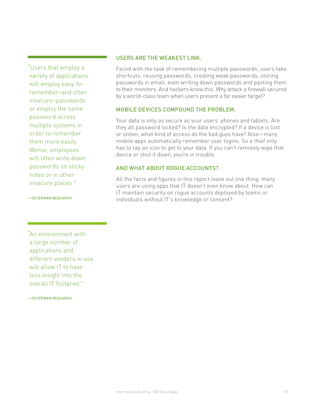"Users that employ a variety of applications will employ easy-toremember–and often insecure–passwords or employ the same password across multiple systems in order to remember them more easily. Worse, employees will often write down passwords on sticky notes or in other insecure places."

#### USERS ARE THE WEAKEST LINK.

Faced with the task of remembering multiple passwords, users take shortcuts: reusing passwords, creating weak passwords, storing passwords in email, even writing down passwords and pasting them to their monitors. And hackers know this. Why attack a firewall secured by a world-class team when users present a far easier target?

### MOBILE DEVICES COMPOUND THE PROBLEM.

Your data is only as secure as your users' phones and tablets. Are they all password locked? Is the data encrypted? If a device is lost or stolen, what kind of access do the bad guys have? Also—many mobile apps automatically remember user logins. So a thief only has to tap an icon to get to your data. If you can't remotely wipe that device or shut it down, you're in trouble.

### AND WHAT ABOUT ROGUE ACCOUNTS?

All the facts and figures in this report leave out one thing: many users are using apps that IT doesn't even know about. How can IT maintain security on rogue accounts deployed by teams or individuals without IT's knowledge or consent?

—OSTERMAN RESEARCH

"An environment with a large number of applications and different vendors in use will allow IT to have less insight into the overall IT footprint."

—OSTERMAN RESEARCH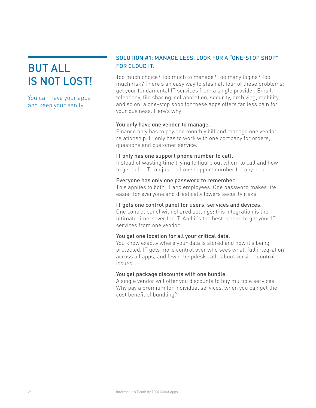### BUT ALL IS NOT LOST!

You can have your apps and keep your sanity.

### SOLUTION #1: MANAGE LESS. LOOK FOR A "ONE-STOP SHOP" FOR CLOUD IT.

Too much choice? Too much to manage? Too many logins? Too much risk? There's an easy way to slash all four of these problems: get your fundamental IT services from a single provider. Email, telephony, file sharing, collaboration, security, archiving, mobility, and so on: a one-stop shop for these apps offers far less pain for your business. Here's why:

### You only have one vendor to manage.

Finance only has to pay one monthly bill and manage one vendor relationship. IT only has to work with one company for orders, questions and customer service.

### IT only has one support phone number to call.

Instead of wasting time trying to figure out whom to call and how to get help, IT can just call one support number for any issue.

### Everyone has only one password to remember.

This applies to both IT and employees. One password makes life easier for everyone and drastically lowers security risks.

### IT gets one control panel for users, services and devices.

One control panel with shared settings: this integration is the ultimate time-saver for IT. And it's the best reason to get your IT services from one vendor.

### You get one location for all your critical data.

You know exactly where your data is stored and how it's being protected. IT gets more control over who sees what, full integration across all apps, and fewer helpdesk calls about version-control issues.

### You get package discounts with one bundle.

A single vendor will offer you discounts to buy multiple services. Why pay a premium for individual services, when you can get the cost benefit of bundling?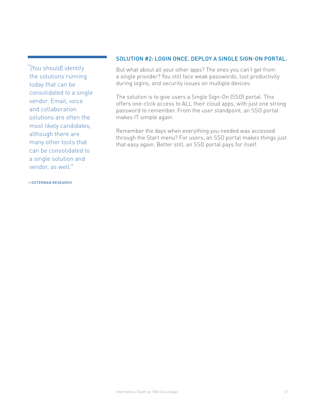"[You should] identify the solutions running today that can be consolidated to a single vendor. Email, voice and collaboration solutions are often the most likely candidates, although there are many other tools that can be consolidated to a single solution and vendor, as well."

#### SOLUTION #2: LOGIN ONCE. DEPLOY A SINGLE SIGN-ON PORTAL.

But what about all your other apps? The ones you can't get from a single provider? You still face weak passwords, lost productivity during logins, and security issues on multiple devices.

The solution is to give users a Single Sign-On (SSO) portal. This offers one-click access to ALL their cloud apps, with just one strong password to remember. From the user standpoint, an SSO portal makes IT simple again.

Remember the days when everything you needed was accessed through the Start menu? For users, an SSO portal makes things just that easy again. Better still, an SSO portal pays for itself.

#### —OSTERMAN RESEARCH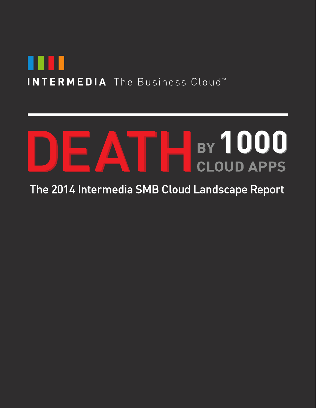

# BY 1000 **CLOUD APPS**

### The 2014 Intermedia SMB Cloud Landscape Report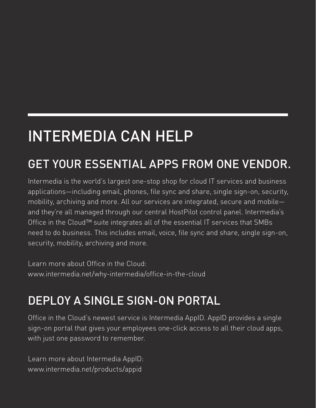# INTERMEDIA CAN HELP

## GET YOUR ESSENTIAL APPS FROM ONE VENDOR.

Intermedia is the world's largest one-stop shop for cloud IT services and business applications—including email, phones, file sync and share, single sign-on, security, mobility, archiving and more. All our services are integrated, secure and mobile and they're all managed through our central HostPilot control panel. Intermedia's Office in the Cloud™ suite integrates all of the essential IT services that SMBs need to do business. This includes email, voice, file sync and share, single sign-on, security, mobility, archiving and more.

Learn more about Office in the Cloud: www.intermedia.net/why-intermedia/office-in-the-cloud

## DEPLOY A SINGLE SIGN-ON PORTAL

Office in the Cloud's newest service is Intermedia AppID. AppID provides a single sign-on portal that gives your employees one-click access to all their cloud apps, with just one password to remember.

Learn more about Intermedia AppID: www.intermedia.net/products/appid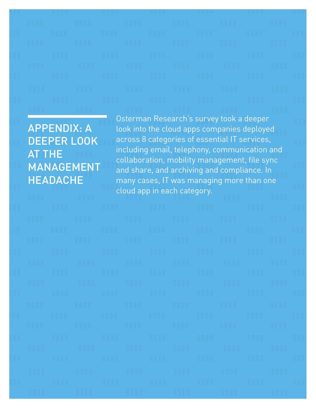APPENDIX: A DEEPER LOOK AT THE MANAGEMENT HEADACHE

Osterman Research's survey took a deeper look into the cloud apps companies deployed across 8 categories of essential IT services, including email, telephony, communication and collaboration, mobility management, file sync and share, and archiving and compliance. In many cases, IT was managing more than one cloud app in each category.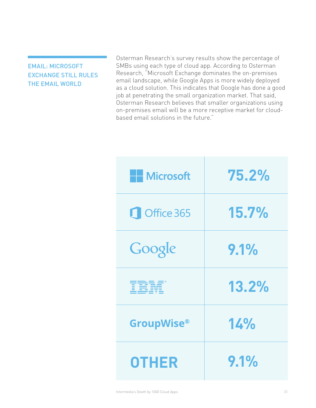### EMAIL: MICROSOFT EXCHANGE STILL RULES THE EMAIL WORLD

Osterman Research's survey results show the percentage of SMBs using each type of cloud app. According to Osterman Research, "Microsoft Exchange dominates the on-premises email landscape, while Google Apps is more widely deployed as a cloud solution. This indicates that Google has done a good job at penetrating the small organization market. That said, Osterman Research believes that smaller organizations using on-premises email will be a more receptive market for cloudbased email solutions in the future."

| <b>H</b> Microsoft | 75.2% |
|--------------------|-------|
| Office 365         | 15.7% |
| Google             | 9.1%  |
| <b>TBM</b>         | 13.2% |
| <b>GroupWise®</b>  | 14%   |
| <b>OTHER</b>       | 9.1%  |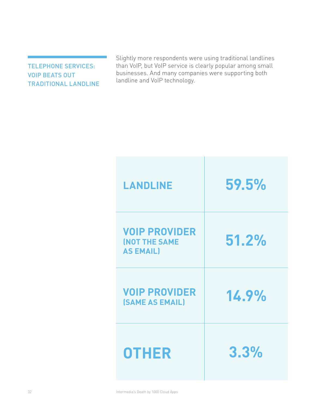TELEPHONE SERVICES: VOIP BEATS OUT TRADITIONAL LANDLINE Slightly more respondents were using traditional landlines than VoIP, but VoIP service is clearly popular among small businesses. And many companies were supporting both landline and VoIP technology.

| <b>LANDLINE</b>                                                  | 59.5% |
|------------------------------------------------------------------|-------|
| <b>VOIP PROVIDER</b><br><b>(NOT THE SAME</b><br><b>AS EMAIL)</b> | 51.2% |
| <b>VOIP PROVIDER</b><br><b>(SAME AS EMAIL)</b>                   | 14.9% |
| <b>OTHER</b>                                                     | 3.3%  |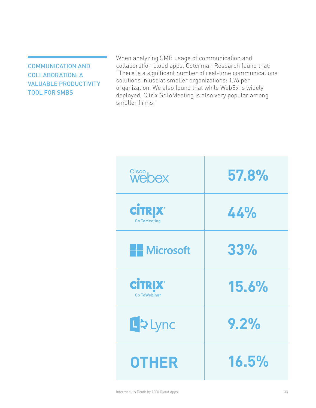COMMUNICATION AND COLLABORATION: A VALUABLE PRODUCTIVITY TOOL FOR SMBS

When analyzing SMB usage of communication and collaboration cloud apps, Osterman Research found that: "There is a significant number of real-time communications solutions in use at smaller organizations: 1.76 per organization. We also found that while WebEx is widely deployed, Citrix GoToMeeting is also very popular among smaller firms."

| Cisco<br>Webex                        | 57.8% |
|---------------------------------------|-------|
| <b>CİTRIX®</b><br><b>Go ToMeeting</b> | 44%   |
| <b>HE</b> Microsoft                   | 33%   |
| <b>CİTRIX®</b><br><b>Go ToWebinar</b> | 15.6% |
| LDLync                                | 9.2%  |
| <b>OTHER</b>                          | 16.5% |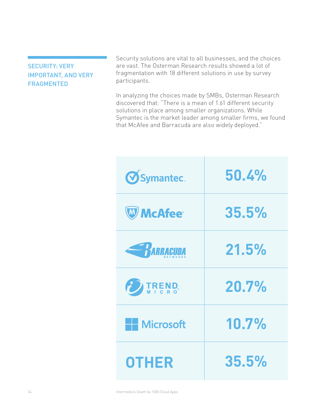### SECURITY: VERY IMPORTANT, AND VERY FRAGMENTED

Security solutions are vital to all businesses, and the choices are vast. The Osterman Research results showed a lot of fragmentation with 18 different solutions in use by survey participants.

In analyzing the choices made by SMBs, Osterman Research discovered that: "There is a mean of 1.61 different security solutions in place among smaller organizations. While Symantec is the market leader among smaller firms, we found that McAfee and Barracuda are also widely deployed."

| <b>OSymantec.</b>    | 50.4% |
|----------------------|-------|
| <b>W</b> McAfee®     | 35.5% |
| <b>EXARGACIDA</b>    | 21.5% |
| ED TREND             | 20.7% |
| <b>All Microsoft</b> | 10.7% |
| <b>OTHER</b>         | 35.5% |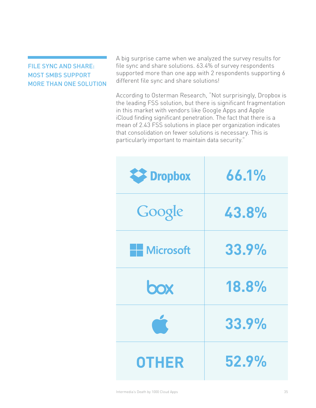### FILE SYNC AND SHARE: MOST SMBS SUPPORT MORE THAN ONE SOLUTION

A big surprise came when we analyzed the survey results for file sync and share solutions. 63.4% of survey respondents supported more than one app with 2 respondents supporting 6 different file sync and share solutions!

According to Osterman Research, "Not surprisingly, Dropbox is the leading FSS solution, but there is significant fragmentation in this market with vendors like Google Apps and Apple iCloud finding significant penetration. The fact that there is a mean of 2.43 FSS solutions in place per organization indicates that consolidation on fewer solutions is necessary. This is particularly important to maintain data security."

| <b>EX</b> Dropbox   | 66.1% |
|---------------------|-------|
| Google              | 43.8% |
| <b>HE</b> Microsoft | 33.9% |
| box                 | 18.8% |
|                     | 33.9% |
| <b>OTHER</b>        | 52.9% |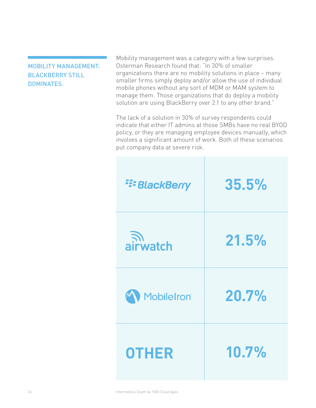### MOBILITY MANAGEMENT: BLACKBERRY STILL DOMINATES.

Mobility management was a category with a few surprises. Osterman Research found that: "In 30% of smaller organizations there are no mobility solutions in place – many smaller firms simply deploy and/or allow the use of individual mobile phones without any sort of MDM or MAM system to manage them. Those organizations that do deploy a mobility solution are using BlackBerry over 2:1 to any other brand."

The lack of a solution in 30% of survey respondents could indicate that either IT admins at those SMBs have no real BYOD policy, or they are managing employee devices manually, which involves a significant amount of work. Both of these scenarios put company data at severe risk.

| <b>E: BlackBerry</b> | 35.5% |
|----------------------|-------|
| ्ति।<br>airwatch     | 21.5% |
| MobileIron®          | 20.7% |
| <b>OTHER</b>         | 10.7% |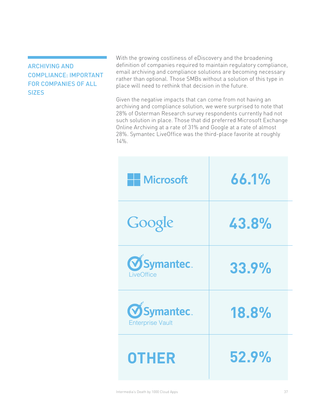### ARCHIVING AND COMPLIANCE: IMPORTANT FOR COMPANIES OF ALL **SIZES**

With the growing costliness of eDiscovery and the broadening definition of companies required to maintain regulatory compliance, email archiving and compliance solutions are becoming necessary rather than optional. Those SMBs without a solution of this type in place will need to rethink that decision in the future.

Given the negative impacts that can come from not having an archiving and compliance solution, we were surprised to note that 28% of Osterman Research survey respondents currently had not such solution in place. Those that did preferred Microsoft Exchange Online Archiving at a rate of 31% and Google at a rate of almost 28%. Symantec LiveOffice was the third-place favorite at roughly 14%.

| <b>H</b> Microsoft                           | 66.1% |
|----------------------------------------------|-------|
| Google                                       | 43.8% |
| <b>OSymantec.</b><br>LiveOffice              | 33.9% |
| <b>OSymantec.</b><br><b>Enterprise Vault</b> | 18.8% |
| <b>OTHER</b>                                 | 52.9% |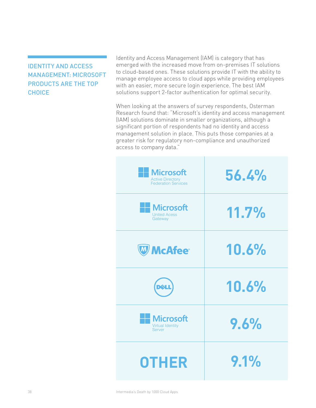### IDENTITY AND ACCESS MANAGEMENT: MICROSOFT PRODUCTS ARE THE TOP **CHOICE**

Identity and Access Management (IAM) is category that has emerged with the increased move from on-premises IT solutions to cloud-based ones. These solutions provide IT with the ability to manage employee access to cloud apps while providing employees with an easier, more secure login experience. The best IAM solutions support 2-factor authentication for optimal security.

When looking at the answers of survey respondents, Osterman Research found that: "Microsoft's identity and access management (IAM) solutions dominate in smaller organizations, although a significant portion of respondents had no identity and access management solution in place. This puts those companies at a greater risk for regulatory non-compliance and unauthorized access to company data."

| <b>Microsoft</b><br><b>Active Directory</b><br><b>Federation Services</b> | 56.4% |
|---------------------------------------------------------------------------|-------|
| <b>Microsoft</b><br><b>United Acess</b><br>Gateway                        | 11.7% |
| <b>W</b> McAfee®                                                          | 10.6% |
| <b>DELL</b>                                                               | 10.6% |
| <b>Microsoft</b><br><b>Virtual Identity</b><br><b>Server</b>              | 9.6%  |
| <b>OTHER</b>                                                              | 9.1%  |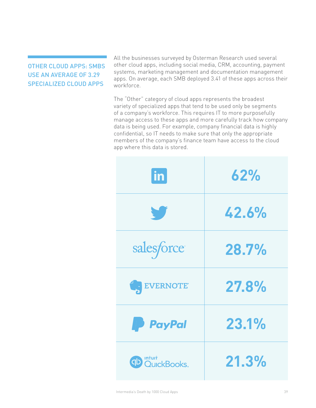### OTHER CLOUD APPS: SMBS USE AN AVERAGE OF 3.29 SPECIALIZED CLOUD APPS

All the businesses surveyed by Osterman Research used several other cloud apps, including social media, CRM, accounting, payment systems, marketing management and documentation management apps. On average, each SMB deployed 3.41 of these apps across their workforce.

The "Other" category of cloud apps represents the broadest variety of specialized apps that tend to be used only be segments of a company's workforce. This requires IT to more purposefully manage access to these apps and more carefully track how company data is being used. For example, company financial data is highly confidential, so IT needs to make sure that only the appropriate members of the company's finance team have access to the cloud app where this data is stored.

| $ $ in                         | 62%   |
|--------------------------------|-------|
| W                              | 42.6% |
| salesforce                     | 28.7% |
| EVERNOTE                       | 27.8% |
| <b>P</b> PayPal                | 23.1% |
| <b>OD</b> Intuit<br>OutckBooks | 21.3% |